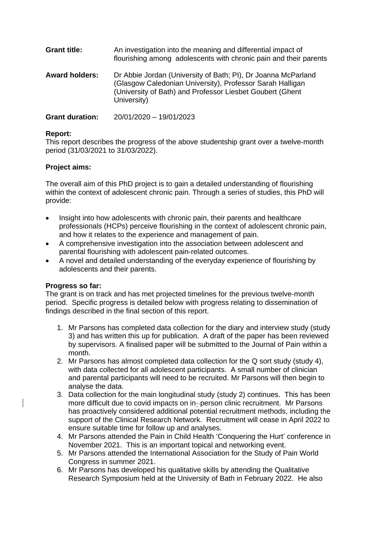| <b>Grant title:</b>   | An investigation into the meaning and differential impact of<br>flourishing among adolescents with chronic pain and their parents                                                                       |
|-----------------------|---------------------------------------------------------------------------------------------------------------------------------------------------------------------------------------------------------|
| <b>Award holders:</b> | Dr Abbie Jordan (University of Bath; PI), Dr Joanna McParland<br>(Glasgow Caledonian University), Professor Sarah Halligan<br>(University of Bath) and Professor Liesbet Goubert (Ghent)<br>University) |

**Grant duration:** 20/01/2020 – 19/01/2023

## **Report:**

This report describes the progress of the above studentship grant over a twelve-month period (31/03/2021 to 31/03/2022).

## **Project aims:**

The overall aim of this PhD project is to gain a detailed understanding of flourishing within the context of adolescent chronic pain. Through a series of studies, this PhD will provide:

- Insight into how adolescents with chronic pain, their parents and healthcare professionals (HCPs) perceive flourishing in the context of adolescent chronic pain, and how it relates to the experience and management of pain.
- A comprehensive investigation into the association between adolescent and parental flourishing with adolescent pain-related outcomes.
- A novel and detailed understanding of the everyday experience of flourishing by adolescents and their parents.

## **Progress so far:**

The grant is on track and has met projected timelines for the previous twelve-month period. Specific progress is detailed below with progress relating to dissemination of findings described in the final section of this report.

- 1. Mr Parsons has completed data collection for the diary and interview study (study 3) and has written this up for publication. A draft of the paper has been reviewed by supervisors. A finalised paper will be submitted to the Journal of Pain within a month.
- 2. Mr Parsons has almost completed data collection for the Q sort study (study 4), with data collected for all adolescent participants. A small number of clinician and parental participants will need to be recruited. Mr Parsons will then begin to analyse the data.
- 3. Data collection for the main longitudinal study (study 2) continues. This has been more difficult due to covid impacts on in- person clinic recruitment. Mr Parsons has proactively considered additional potential recruitment methods, including the support of the Clinical Research Network. Recruitment will cease in April 2022 to ensure suitable time for follow up and analyses.
- 4. Mr Parsons attended the Pain in Child Health 'Conquering the Hurt' conference in November 2021. This is an important topical and networking event.
- 5. Mr Parsons attended the International Association for the Study of Pain World Congress in summer 2021.
- 6. Mr Parsons has developed his qualitative skills by attending the Qualitative Research Symposium held at the University of Bath in February 2022. He also